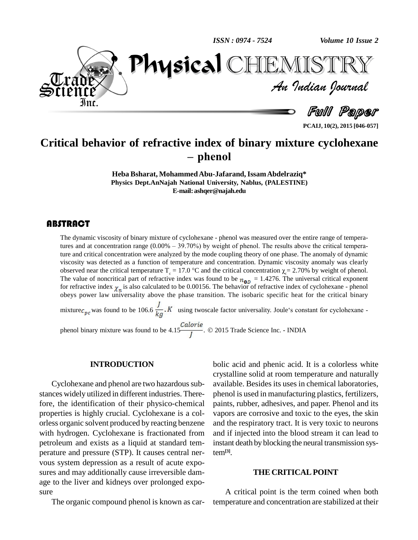



**PCAIJ, 10(2), 2015 [046-057]**

# **Critical behavior of refractive index of binary mixture cyclohexane**<br>- phenol

**Heba Bsharat, MohammedAbu-Jafarand,IssamAbdelraziq\* Physics Dept.AnNajah National University, Nablus, (PALESTINE) E-mail:[ashqer@najah.edu](mailto:ashqer@najah.edu)**

The dynamic viscosity of<br>tures and at concentration<br>ture and critical concent The dynamic viscosity of binary mixture of cyclohexane - phenol was measured over the entire range of tempera-The dynamic viscosity of binary mixture of cyclohexane - phenol was measured over the entire range of tempera-<br>tures and at concentration range (0.00% – 39.70%) by weight of phenol. The results above the critical temperature and critical concentration were analyzed by the mode coupling theory of one phase. The anomaly of dynamic viscosity was detected as a function of temperature and concentration. Dynamic viscosity anomaly was clearly observed near the critical temperature  $T_c = 17.0$  °C and the critical concentration  $\chi = 2.70\%$  by weight of phenol. The value of noncritical part of refractive index was found to be  $n_{0D} = 1.4276$ . The universal critical exponent for refractive index  $\chi_n$  is also calculated to be 0.00156. The behavior of refractive index of cyclohexane - phenol obeys power law universality above the phase transition. The isobaric specific heat for the critical binary

mixture  $c_{pc}$  was found to be 106.6  $\frac{J}{kq}$ . K using twoscale factor universality. Joule's constant for cyclohexane -

phenol binary mixture was found to be  $4.15\frac{Calorie}{I}$ . © 2015 Trade Science Inc. - INDIA

#### **INTRODUCTION**

Cyclohexane and phenol are two hazardous substances widely utilized in different industries. Therefore, the identification of their physico-chemical properties is highly crucial. Cyclohexane is a col orless organic solvent produced by reacting benzene with hydrogen. Cyclohexane is fractionated from petroleum and exists as a liquid at standard tem perature and pressure (STP). It causes central ner vous system depression as a result of acute expo sures and may additionally cause irreversible dam age to the liver and kidneys over prolonged expo sure

The organic compound phenol is known as car-

bolic acid and phenic acid. It is a colorless white crystalline solid at room temperature and naturally available. Besides its uses in chemical laboratories, phenol is used in manufacturing plastics, fertilizers, paints, rubber, adhesives, and paper. Phenol and its vapors are corrosive and toxic to the eyes, the skin and the respiratory tract. It is very toxic to neurons and if injected into the blood stream it can lead to instant death by blocking the neural transmission system**[3]**.

#### **THE CRITICALPOINT**

A critical point is the term coined when both temperature and concentration are stabilized at their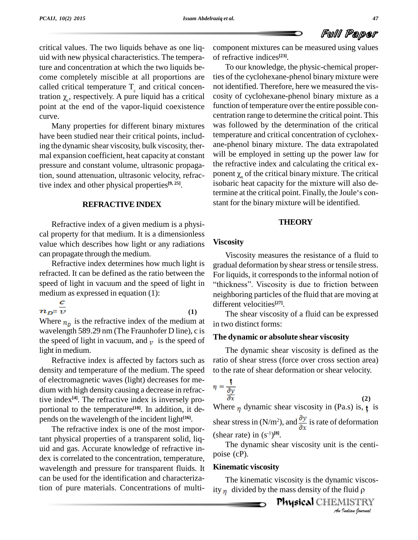critical values. The two liquids behave as one liq uid with new physical characteristics. The temperature and concentration at which the two liquids be come completely miscible at all proportions are called critical temperature  $T_c$  and critical concencome complete<br>called critical to<br>tration  $\chi_c$ , respe tration  $\chi$ , respectively. A pure liquid has a critical point at the end of the vapor-liquid coexistence curve.

Many properties for different binary mixtures have been studied near their critical points, including the dynamic shear viscosity, bulk viscosity, ther mal expansion coefficient, heat capacity at constant pressure and constant volume, ultrasonic propagation, sound attenuation, ultrasonic velocity, refractive index and other physical properties **[9, 25]**.

#### **REFRACTIVE INDEX**

Refractive index of a given medium is a physi cal property for that medium. It is a dimensionless value which describes how light or any radiations can propagate through the medium.

Refractive index determines how much light is refracted. It can be defined as the ratio between the speed of light in vacuum and the speed of light in "thickness". Viscosity is due to friction between

medium as expressed in equation (1):<br> $\frac{c}{n_{D} = v}$  (1)

Where  $n_n$  is the refractive index of the medium at wavelength 589.29 nm (The Fraunhofer D line), c is the speed of light in vacuum, and  $\nu$  is the speed of light in medium.

Refractive index is affected by factors such as density and temperature of the medium. The speed of electromagnetic waves (light) decreases for me dium with high density causing a decrease in refractive index **[4]**. The refractive index is inversely pro portional to the temperature<sup>[18]</sup>. In addition, it depends on the wavelength of the incident light **[16]**.

The refractive index is one of the most important physical properties of a transparent solid, liq uid and gas. Accurate knowledge of refractive in dex is correlated to the concentration, temperature, wavelength and pressure for transparent fluids. It can be used for the identification and characterization of pure materials. Concentrations of multicomponent mixtures can be measured using values of refractive indices **[23]**.

To our knowledge, the physic-chemical properties of the cyclohexane-phenol binary mixture were not identified. Therefore, here we measured the vis cosity of cyclohexane-phenol binary mixture as a function of temperature over the entire possible con centration range to determine the critical point. This was followed by the determination of the critical temperature and critical concentration of cyclohex ane-phenol binary mixture. The data extrapolated will be employed in setting up the power law for the refractive index and calculating the critical ex will be employed in setting up the power law for<br>the refractive index and calculating the critical ex-<br>ponent  $\chi_n$  of the critical binary mixture. The critical isobaric heat capacity for the mixture will also deponent  $\chi_n$  of the critical binary mixture. The critical isobaric heat capacity for the mixture will also determine at the critical point. Finally, the Joule's constant for the binary mixture will be identified.

#### **THEORY**

#### **Viscosity**

Viscosity measures the resistance of a fluid to gradual deformation by shear stress or tensile stress. gradual deformation by shear stress or tensile stress.<br>For liquids, it corresponds to the informal notion of<br>"thickness". Viscosity is due to friction between neighboring particles of the fluid that are moving at different velocities **[27]**.

The shear viscosity of a fluid can be expressed in two distinct forms:

#### **The dynamic or absolute shear viscosity**

The dynamic shear viscosity is defined as the ratio of shear stress (force over cross section area) to the rate of shear deformation or shear velocity.

$$
\eta = \frac{\mathbf{t}}{\frac{\partial y}{\partial x}}
$$
\n(2)  
\nWhere  $\eta$  dynamic shear viscosity in (Pa.s) is, **t** is

shear stress in (N/m<sup>2</sup>), and  $\frac{\partial y}{\partial x}$  is rate of deformation (shear rate) in  $(s^{-1})^{[8]}$ .

The dynamic shear viscosity unit is the centi poise (cP).

#### **Kinematic viscosity**

mic viscos-<br>*I*luid p<br>*Indian Iournal* The kinematic viscosity is the dynamic viscosity  $\eta$  divided by the mass density of the fluid  $\rho$ 

e mass density of the fidid p<br>**Physical** CHEMISTRY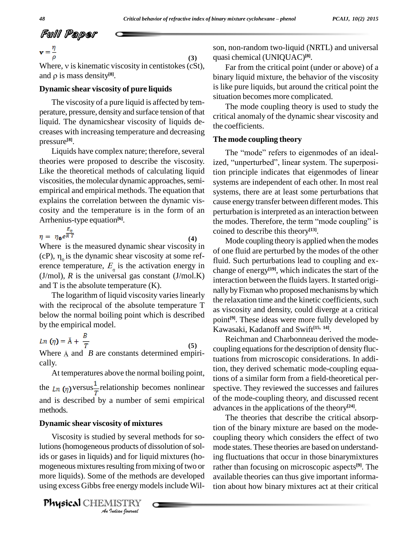$$
\text{Full Paper} \quad \text{C.}
$$
\n
$$
\mathbf{v} = \frac{\eta}{\tau}
$$

**(3)**  $\mathbf{v} = \frac{\eta}{\rho}$  (3) so<br>Where, v is kinematic viscosity in centistokes (cSt), **v** =  $\frac{1}{\rho}$ <br>Where, v is kinematic viscosity<br>and  $\rho$  is mass density<sup>[8]</sup>. and  $\rho$  is mass density<sup>[8]</sup>.

#### **Dynamic shear viscosity of pure liquids**

The viscosity of a pure liquid is affected by tem perature, pressure, density and surface tension of that liquid. The dynamicshear viscosity of liquids de creases with increasing temperature and decreasing pressure **[8]**.

Liquids have complex nature; therefore, several theories were proposed to describe the viscosity. Like the theoretical methods of calculating liquid viscosities, the molecular dynamic approaches, semiempirical and empirical methods. The equation that explains the correlation between the dynamic vis cosity and the temperature is in the form of an Arrhenius-type equation **[6]**.

**(4)**  $\eta = \eta_0 e^{\frac{E_\eta}{RT}}$ 

Where is the measured dynamic shear viscosity in (cP),  $\eta_0$  is the dynamic shear viscosity at some reference temperature,  $E_{\eta}$  is the activation energy in change  $(J/mol)$ ,  $R$  is the universal gas constant  $(J/mol.K)$ and T is the absolute temperature (K).

The logarithm of liquid viscosity varies linearly with the reciprocal of the absolute temperature T below the normal boiling point which is described by the empirical model.

**(5)** *Ln* ( $\eta$ ) =  $\tilde{A} + \frac{B}{T}$  (5)<br>Where  $\tilde{A}$  and *B* are constants determined empirically.

At temperatures above the normal boiling point, the  $\ln$  (*n*) versus $\frac{1}{T}$  relationship becomes nonlinear and is described by a number of semi empirical methods.

### **Dynamic shear viscosity of mixtures**

ids or gases in liquids) and for liquid mixtures (ho- ing *I* and for lique sulting from<br>*Indian Indian*<br>*Indian hournal* Viscosity is studied by several methods for solutions (homogeneous products of dissolution of solmogeneous mixtures resulting from mixing of two or more liquids). Some of the methods are developed using excess Gibbs free energy models include Wil-

Physical CHEMISTRY

son, non-random two-liquid (NRTL) and universal quasi chemical (UNIQUAC) **[8]**.

Far from the critical point (under or above) of a binary liquid mixture, the behavior of the viscosity is like pure liquids, but around the critical point the situation becomes more complicated.

The mode coupling theory is used to study the critical anomaly of the dynamic shear viscosity and the coefficients.

#### **The mode coupling theory**

The "mode" refers to eigenmodes of an idealized, "unperturbed", linear system. The superposition principle indicates that eigenmodes of linear systems are independent of each other. In most real systems, there are at least some perturbations that cause energy transfer between different modes. This perturbation is interpreted as an interaction between cause energy transfer between different modes. This<br>perturbation is interpreted as an interaction between<br>the modes. Therefore, the term "mode coupling" is coined to describe this theory **[13]**.

Mode coupling theory is applied when the modes of one fluid are perturbed by the modes of the other fluid. Such perturbations lead to coupling and ex change of energy **[19]**, which indicates the start of the interaction between the fluids layers. It started originallybyFixman who proposed mechanisms bywhich the relaxation time and the kinetic coefficients, such as viscosity and density, could diverge at a critical point **[9]**. These ideas were more fully developed by Kawasaki, Kadanoff and Swift **[15, 14]**.

Reichman and Charbonneau derived the mode coupling equations for the description of density fluctuations from microscopic considerations. In addition, they derived schematic mode-coupling equations of a similar form from a field-theoretical per spective. They reviewed the successes and failures of the mode-coupling theory, and discussed recent advances in the applications of the theory **[24]**.

The theories that describe the critical absorption of the binary mixture are based on the mode coupling theory which considers the effect of two mode states. These theories are based on understanding fluctuations that occur in those binarymixtures rather than focusing on microscopic aspects **[9]**. The available theories can thus give important information about how binary mixtures act at their critical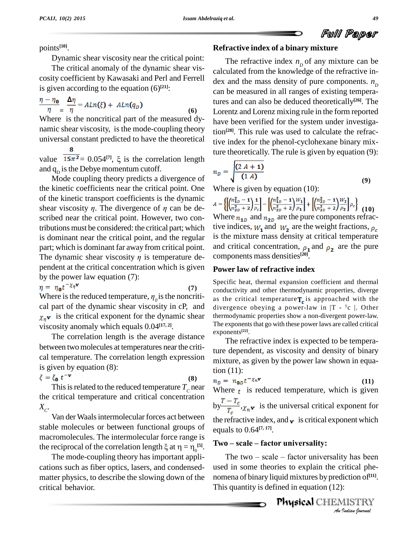points **[10]**. Dynamic shear viscosity near the critical point:

The critical anomaly of the dynamic shear vis cosity coefficient by Kawasaki and Perl and Ferrell is given according to the equation (6) **[21]**:

$$
\frac{\eta - \eta_0}{\eta} = \frac{\Delta \eta}{\eta} = A L n(\xi) + A L n(q_D) \tag{6}
$$

Where is the noncritical part of the measured dy namic shear viscosity, is the mode-coupling theory universal constant predicted to have the theoretical

universal constant predicted to have the theoretical tive in<br>
value  $\frac{8}{15\pi^2} = 0.054^{[7]}$ ,  $\xi$  is the correlation length 8 and  $q_{\rm p}$  is the Debye momentum cutoff.

Mode coupling theory predicts a divergence of the kinetic coefficients near the critical point. One of the kinetic transport coefficients is the dynamic the kinetic coefficients near the critical point. One Wh<br>of the kinetic transport coefficients is the dynamic<br>shear viscosity  $\eta$ . The divergence of  $\eta$  can be described near the critical point. However, two contributions must be considered: the critical part; which is dominant near the critical point, and the regular is the part; which is dominant far away from critical point. and The dynamic shear viscosity  $\eta$  is temperature depart; which is dominant far away from critical point. pendent at the critical concentration which is given by the power law equation (7):

$$
\eta = \eta_0 t^{-\chi_\eta \mathbf{v}} \tag{7}
$$

by the power law equation (7):<br>  $\eta = \eta_0 t^{-\chi_\eta \mathbf{v}}$  (7) Spectrum (7) Concretive is the reduced temperature,  $\eta_0$  is the noncriti-<br>
as the noncritical part of the dynamic shear viscosity in cP, and  $x_n$ **v** is the critical exponent for the dynamic shear viscosity anomaly which equals 0.04 **[17, 2]**.

The correlation length is the average distance between two molecules at temperatures near the critical temperature. The correlation length expression is given by equation (8):

$$
\xi = \xi_0 \ t^{-\mathbf{v}} \tag{8}
$$

 $\zeta_0$  **t**  $\zeta_1$  **c**<br>This is related to the reduced temperature  $T_c$  near **Where**  $\zeta_1$  is re the critical temperature and critical concentration  $X_C$ .

Van der Waals intermolecular forces act between stable molecules or between functional groups of macromolecules. The intermolecular force range is stable molecules or between functional groups of equal expansion energies. The intermolecular force range is the reciprocal of the correlation length  $\xi$  at  $\eta = \eta_0^{[5]}$ .

The mode-coupling theory has important appli cations such as fiber optics, lasers, and condensed matter physics, to describe the slowing down of the critical behavior.

The refractive index  $n<sub>p</sub>$  of any mixture can be calculated from the knowledge of the refractive in dex and the mass density of pure components.  $n_p$ can be measured in all ranges of existing temperatures and can also be deduced theoretically **[26]**. The Lorentz and Lorenz mixing rule in the form reported have been verified for the system under investigation **[28]**. This rule was used to calculate the refractive index for the phenol-cyclohexane binary mixture theoretically. The rule is given by equation (9):

**Refractive index of a binary mixture**

$$
n_D = \sqrt{\frac{(2 A + 1)}{(1 A)}}
$$
  
Where is given by equation (10): (9)

Where is given by equation (10):

 $A=\left\{\left[\left(\frac{n_{1D}^2-1}{n_{2D}^2+2}\right)\frac{1}{\rho_c}\right]-\left[\left(\frac{n_{1D}^2-1}{n_{2D}^2+2}\right)\frac{W_1}{\rho_1}\right]+\left[\left(\frac{n_{2D}^2-1}{n_{2D}^2+2}\right)\frac{W_2}{\rho_2}\right]\rho_c\right\}\eqno(10)$ Where  $n_{1D}$  and  $n_{2D}$  are the pure components refractive indices,  $W_1$  and  $W_2$  are the weight fractions,  $\rho_c$ is the mixture mass density at critical temperature and critical concentration,  $\rho_1$  and  $\rho_2$  are the pure components mass densities **[20]**.

#### **Power law of refractive index**

Specific heat, thermal expansion coefficient and thermal conductivity and other thermodynamic properties, diverge as the critical temperature $T_c$  is approached with the divergence obeying a power-law in  $|T - T_c|$ . Other thermodynamic properties show a non-divergent power-law. The exponents that go with these power laws are called critical exponents **[22]**.

The refractive index is expected to be temperature dependent, as viscosity and density of binary mixture, as given by the power law shown in equation (11):

**(11)** Where  $t$  is reduced temperature, which is given by  $\frac{T - T_c}{T_c}$ ,  $\chi_n$ **v** is the universal critical exponent for the refractive index, and  $\mathbf r$  is critical exponent which equals to 0.64 **[7, 17]**.

#### **Two <sup>ñ</sup> scale <sup>ñ</sup> factor universality:**

*A* – *Andre – factor universality:*<br>The two – scale – factor universality has been *I*<br>*Indian* phe-<br>*IISTRY*<br>*Indian bournal* used in some theories to explain the critical phe nomena of binary liquid mixtures by prediction of **[11]**. This quantity is defined in equation (12):

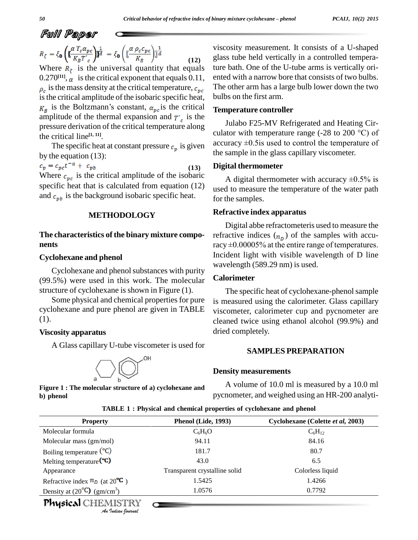$$
R_{\xi} = \xi_{\mathbf{0}} \left( \mathbf{\mathbf{\mathbb{E}}}_{K_B T'c}^{a T_c \alpha_{pc}} \right) \mathbf{\mathbf{\mathbb{I}}}_{d}^{\frac{1}{d}} = \xi_{\mathbf{0}} \left( \mathbf{\mathbb{E}}_{K_B}^{a P_c c_{pc}} \right) \mathbf{\mathbb{I}}}_{d}^{\frac{1}{d}} \tag{12}
$$

Where  $R_{\xi}$  is the universal quantity that equals  $0.270^{[11]}$ ,  $\alpha$  is the critical exponent that equals 0.11, en is the mass density at the critical temperature,  $c_{pc}$  The critical amplitude of the isobaric specific heat, bu<br>is the Boltzmann's constant,  $a_{nc}$  is the critical Te is the critical amplitude of the isobaric specific heat, amplitude of the thermal expansion and  $T_c$  is the pressure derivation of the critical temperature along the critical line **[1, 11]**.

The specific heat at constant pressure  $c_p$  is given by the equation (13):<br> $c_p = c_{pc}t^{-\alpha} + c_{pb}$ 

**(13)** Where  $c_{\nu c}$  is the critical amplitude of the isobaric specific heat that is calculated from equation (12) and  $c_{pb}$  is the background isobaric specific heat.

#### **METHODOLOGY**

#### **The characteristics of the binary mixture compo nents**

#### **Cyclohexane and phenol**

Cyclohexane and phenol substances with purity (99.5%) were used in this work. The molecular structure of cyclohexane is shown in Figure (1).

Some physical and chemical properties for pure cyclohexane and pure phenol are given in TABLE (1).

#### **Viscosity apparatus**

A Glasscapillary U-tube viscometer is used for



**Figure 1 : The molecular structure of a) cyclohexane and b) phenol**

viscosity measurement. It consists of a U-shaped glass tube held vertically in a controlled temperature bath. One of the U-tube arms is vertically ori ented with a narrow bore that consists of two bulbs. The other arm has a large bulb lower down the two bulbs on the first arm.

#### **Temperature controller**

Julabo F25-MV Refrigerated and Heating Cir culator with temperature range (-28 to 200  $^{\circ}$ C) of accuracy  $\pm 0.5$  is used to control the temperature of the sample in the glass capillary viscometer.

#### **Digital thermometer**

A digital thermometer with accuracy  $\pm 0.5\%$  is used to measure the temperature of the water path for the samples.

#### **Refractive index apparatus**

Digital abbe refractometeris used to measure the refractive indices  $(n_n)$  of the samples with accu-Digital abbe refractometeris used to measure the refractive indices  $(n_D)$  of the samples with accuracy  $\pm 0.00005\%$  at the entire range of temperatures. Incident light with visible wavelength of D line wavelength (589.29 nm) is used.

#### **Calorimeter**

The specific heat of cyclohexane-phenol sample is measured using the calorimeter. Glass capillary viscometer, calorimeter cup and pycnometer are cleaned twice using ethanol alcohol (99.9%) and dried completely.

#### **SAMPLES PREPARATION**

#### **Density measurements**

A volume of 10.0 ml is measured by a 10.0 ml pycnometer, and weighed using an HR-200 analyti-

| TABLE 1: Physical and chemical properties of cyclohexane and phenol |  |  |  |
|---------------------------------------------------------------------|--|--|--|
|---------------------------------------------------------------------|--|--|--|

| <b>Property</b>                                         | Phenol (Lide, 1993)           | Cyclohexane (Colette et al, 2003) |
|---------------------------------------------------------|-------------------------------|-----------------------------------|
| Molecular formula                                       | $C_6H_6O$                     | $C_6H_{12}$                       |
| Molecular mass (gm/mol)                                 | 94.11                         | 84.16                             |
| Boiling temperature $({}^{\circ}C)$                     | 181.7                         | 80.7                              |
| Melting temperature $({}^{\circ}C)$                     | 43.0                          | 6.5                               |
| Appearance                                              | Transparent crystalline solid | Colorless liquid                  |
| Refractive index $n_D$ (at 20 <sup>°C</sup> )           | 1.5425                        | 1.4266                            |
| Density at $(20^{\circ}\text{C})$ (gm/cm <sup>3</sup> ) | 1.0576                        | 0.7792                            |
| Physical CHEMISTRY<br>An Indian Journal                 |                               |                                   |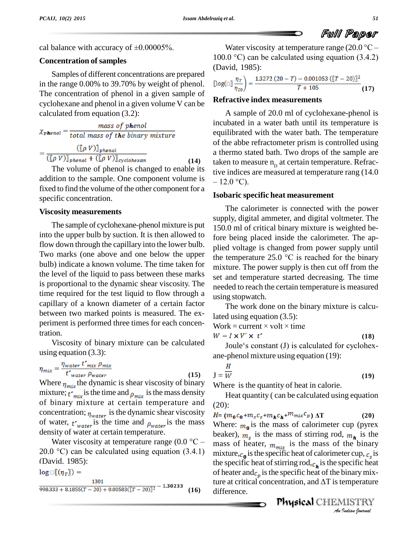**(18)**

cal balance with accuracy of  $\pm 0.00005\%$ .

#### **Concentration** of samples

Samples of different concentrations are prepared in the range 0.00% to 39.70% by weight of phenol. The concentration of phenol in a given sample of cyclohexane and phenol in a given volume V can be calculated from equation (3.2):

$$
\chi_{\text{phenol}} = \frac{mass \ of \ phenol}{total \ mass \ of \ the \ binary \ mixture}
$$

$$
= \frac{([\rho \ V)]_{phenol}}{([\rho \ V)]_{phenol} + ([\rho \ V)]_{cyclohexan}} \tag{14}
$$

The volume of phenol is changed to enable its addition to the sample. One component volume is  $-12.0^{\circ}$ C). fixed to find the volume of the other component for a specific concentration.

#### **Viscosity measurements**

The sample of cyclohexane-phenol mixture is put into the upper bulb by suction. It is then allowed to flow down through the capillary into the lower bulb. Two marks (one above and one below the upper  $\int_{0}^{1}$  the temperature 25.0 °C is reached for the binary bulb) indicate a known volume. The time taken for the level of the liquid to pass between these marks is proportional to the dynamic shear viscosity. The time required for the test liquid to flow through a capillary of a known diameter of a certain factor between two marked points is measured. The ex periment is performed three times for each concentration.

Viscosity of binary mixture can be calculated using equation (3.3):

$$
\eta_{mix} = \frac{\eta_{water} \ t'_{mix} \ \rho_{mix}}{t'_{water} \ \rho_{water}} \tag{15}
$$

Where  $\eta_{mix}$  the dynamic is shear viscosity of binary mixture;  $t_{mix}$  is the time and  $\rho_{mix}$  is the mass density of binary mixture at certain temperature and concentration;  $\eta_{water}$  is the dynamic shear viscosity of water,  $t_{water}$  is the time and  $\rho_{water}$  is the mass Where:<br>
density of water at certain temperature. beaker)<br>
Water viscosity at temperature range (0.0 °C – mass of density of water at certain temperature.

Water viscosity at temperature range  $(0.0 \degree C - 20.0 \degree C)$  can be calculated using equation  $(3.4.1)$ (David, 1985):

$$
log \text{Im}((\eta_T)) = 1301
$$
  
998.333 + 8.1855(T - 20) + 0.00583([T - 20)]<sup>2</sup> - 1.30233 (16)

Water viscosity at temperature range  $(20.0 °C –$ 100.0  $^{\circ}$ C) can be calculated using equation (3.4.2) (David, 1985):

$$
\left[\log(\text{Im} \frac{\eta_T}{\eta_{20}}\right) = \frac{1.3272 (20 - T) - 0.001053 (\text{[(}T - 20\text{)]}^2}{T + 105} \tag{17}
$$

#### **Refractive index measurements**

A sample of 20.0 ml of cyclohexane-phenol is incubated in a water bath until its temperature is equilibrated with the water bath. The temperature of the abbe refractometer prism is controlled using a thermo stated bath. Two drops of the sample are taken to measure  $n<sub>p</sub>$  at certain temperature. Refractive indices are measured at temperature rang (14.0 – 12.0 °C). tive indices are measured at temperature rang (14.0

#### **Isobaric specific heat measurement**

The calorimeter is connected with the power supply, digital ammeter, and digital voltmeter. The 150.0 ml of critical binary mixture is weighted before being placed inside the calorimeter. The applied voltage is changed from power supply until<br>the temperature 25.0  $\degree$ C is reached for the binary plied voltage is changed from power supply until mixture. The power supply is then cut off from the set and temperature started decreasing. The time needed to reach the certain temperature is measured using stopwatch.

The work done on the binary mixture is calcu-<br>lated using equation (3.5):<br>Work = current  $\times$  volt  $\times$  time lated using equation (3.5):

$$
W = I \times V' \times t'
$$

Work = current × volt × time<br>  $W = I \times V' \times t'$  (18)<br>
Joule's constant (J) is calculated for cyclohexane-phenol mixture using equation (19):

$$
\mathbf{J} = \frac{H}{W} \tag{19}
$$

Where is the quantity of heat in calorie.

Heat quantity ( can be calculated using equation (20):

mixture,  $c_{\bf{a}}$  is the specific heat of calorimeter cup,  $c_{\bf{a}}$  is *Ier cup, c<sub>s</sub> is<br>pecific heat<br>binary mix-<br>emperature<br>AlSTRY<br>Indian Iournal* **(16)** difference. $H = (m_0 c_0 + m_s c_s + m_h c_h + m_{mix} c_p) \Delta T$  (20) Where:  $m_0$  is the mass of calorimeter cup (pyrex beaker),  $m_s$  is the mass of stirring rod,  $m_h$  is the mass of heater,  $m_{mix}$  is the mass of the binary the specific heat of stirring rod,  $c_h$  is the specific heat of heater and  $c_p$  is the specific heat of the binary mixture at critical concentration, and  $\Delta T$  is temperature of heater and  $c_p$  is the specific heat of the binary mix-

Physical CHEMISTRY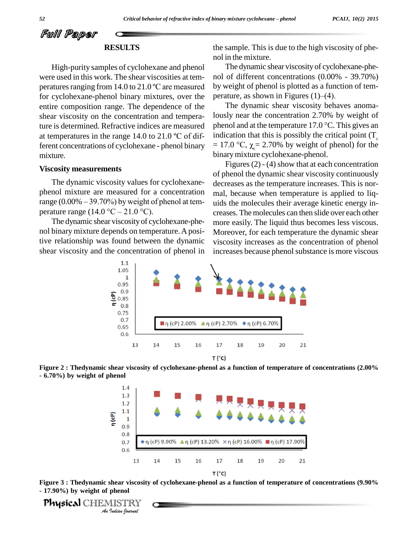#### **RESULTS**

High-purity samples of cyclohexane and phenol were used in this work. The shear viscosities at tem peratures ranging from  $14.0$  to  $21.0$  °C are measured for cyclohexane-phenol binary mixtures, over the perature, as shown in Figures  $(1)$ – $(4)$ . entire composition range. The dependence of the shear viscosity on the concentration and tempera-<br>ture is determined. Refractive indices are measured ph<br>at temperatures in the range 14.0 to 21.0 °C of different concentrations of cyclohexane - phenol binary mixture.

#### **Viscosity measurements**

The dynamic viscosity values for cyclohexane phenol mixture are measured for a concentration The dynamic viscosity values for cyclohexane-<br>phenol mixture are measured for a concentration mal<br>range  $(0.00\% - 39.70\%)$  by weight of phenol at temphenol mixture are measured for a compare (0.00% – 39.70%) by weight of phanenture range (14.0 °C – 21.0 °C).

The dynamic shear viscosity of cyclohexane-phe nol binary mixture depends on temperature.Apositive relationship was found between the dynamic shear viscosity and the concentration of phenol in the sample. This is due to the high viscosity of phe nol in the mixture.

The dynamic shear viscosity of cyclohexane-phe nol of different concentrations (0.00% - 39.70%)<br>by weight of phenol is plotted as a function of tem-<br>perature, as shown in Figures (1)–(4). by weight of phenol is plotted as a function of tem-

ture is determined. Refractive indices are measured phenol and at the temperature  $17.0\degree C$ . This gives an The dynamic shear viscosity behaves anomalously near the concentration 2.70% by weight of The dynamic shear viscosity behaves anomalously near the concentration 2.70% by weight of phenol and at the temperature 17.0  $^{\circ}$ C. This gives an indication that this is possibly the critical point (T<sub>c</sub> = 17.0 °C,  $\chi$  = 2.70% by weight of phenol) for the binarymixture cyclohexane-phenol.

> Figures  $(2)$  -  $(4)$  show that at each concentration of phenol the dynamic shear viscosity continuously decreases as the temperature increases. This is nor mal, because when temperature is applied to liq uids the molecules their average kinetic energy in creases. The molecules can then slide over each other more easily. The liquid thus becomes less viscous. Moreover, for each temperature the dynamic shear viscosity increases as the concentration of phenol increases because phenol substance is more viscous







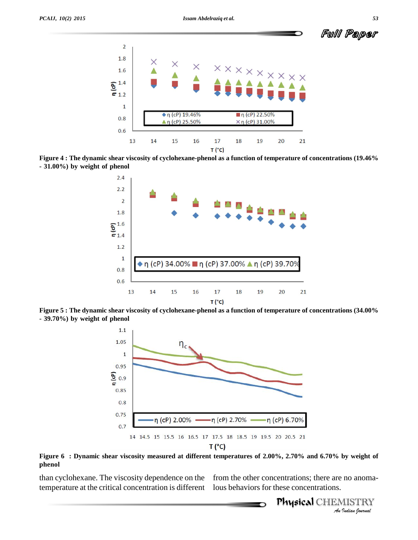

Figure 4 : The dynamic shear viscosity of cyclohexane-phenol as a function of temperature of concentrations (19.46% **- 31.00%) by weight of phenol**



Figure 5 : The dynamic shear viscosity of cyclohexane-phenol as a function of temperature of concentrations (34.00% **- 39.70%) by weight of phenol**



Figure 6 : Dynamic shear viscosity measured at different temperatures of 2.00%, 2.70% and 6.70% by weight of **phenol**

than cyclohexane. The viscosity dependence on the temperature at the critical concentration is different lous behaviors for these concentrations.

from the other concentrations; there are no anoma-

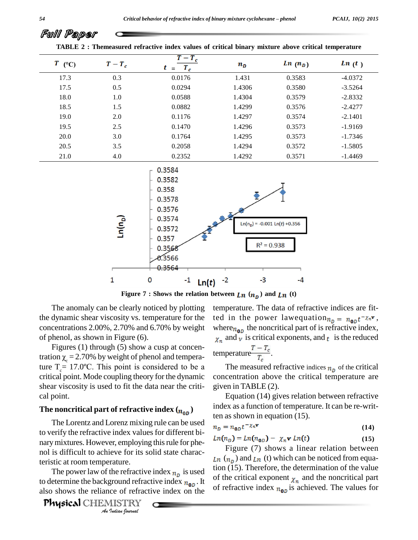| $T$ (°C) | $T-T_c$ | $T-T_c$<br>$T_c$<br>$t =$ | $n_{D}$ | $\mathbf{L}\mathbf{n}$ ( $\mathbf{n}_D$ ) | $\ln(t)$  |
|----------|---------|---------------------------|---------|-------------------------------------------|-----------|
| 17.3     | 0.3     | 0.0176                    | 1.431   | 0.3583                                    | $-4.0372$ |
| 17.5     | 0.5     | 0.0294                    | 1.4306  | 0.3580                                    | $-3.5264$ |
| 18.0     | 1.0     | 0.0588                    | 1.4304  | 0.3579                                    | $-2.8332$ |
| 18.5     | 1.5     | 0.0882                    | 1.4299  | 0.3576                                    | $-2.4277$ |
| 19.0     | 2.0     | 0.1176                    | 1.4297  | 0.3574                                    | $-2.1401$ |
| 19.5     | 2.5     | 0.1470                    | 1.4296  | 0.3573                                    | $-1.9169$ |
| 20.0     | 3.0     | 0.1764                    | 1.4295  | 0.3573                                    | $-1.7346$ |
| 20.5     | 3.5     | 0.2058                    | 1.4294  | 0.3572                                    | $-1.5805$ |
| 21.0     | 4.0     | 0.2352                    | 1.4292  | 0.3571                                    | $-1.4469$ |





**Figure** 7 **: Shows** the relation between  $\mathbf{L}\mathbf{n}$  ( $\mathbf{n}_p$ ) and  $\mathbf{L}\mathbf{n}$  (t)

The anomaly can be clearly noticed by plotting the dynamic shear viscosity vs. temperature for the concentrations 2.00%, 2.70% and 6.70% by weight of phenol, as shown in Figure (6).

Figures (1) through (5) show a cusp at concentration  $\chi$  = 2.70% by weight of phenol and temperature  $T_c = 17.0$ °C. This point is considered to be a critical point. Mode coupling theory forthe dynamic shear viscosity is used to fit the data near the criti cal point.

#### The noncritical part of refractive index  $(n_{0D})$

*An*nol is difficult to achieve for its solid state charac-The Lorentz and Lorenz mixing rule can be used to verify the refractive index values for different bi-<br>  $Ln(n_D) = Ln(n_{0D}) - \chi_n v \, Ln(t)$ narymixtures. However, employing thisrule for phe teristic at room temperature.

*Indian*<br>*Indian Indian*<br>*Indian*<br>*Indian boundal*<br>*Indian boundal* also shows the reliance of refractive index on the  $\frac{1}{2}$ The power law of the refractive index  $n<sub>p</sub>$  is used  $\frac{1001}{c}$ . to determine the background refractive index  $n_{0}$ . It

temperature. The data of refractive indices are fitted in the power law equation  $n_p = n_{0p}t^{-\chi_n r}$ , where  $n_{0D}$  the noncritical part of is refractive index,  $\chi_n$  and  $\nu$  is critical exponents, and  $t$  is the reduced

temperature 
$$
\frac{T - T_c}{T_c}
$$
.

The measured refractive indices  $n<sub>p</sub>$  of the critical concentration above the critical temperature are given in TABLE (2).

Equation (14) gives relation between refractive index as a function of temperature. It can be re-written as shown in equation (15).

$$
n_D = n_{0D} t^{-\chi_n \mathbf{v}} \tag{14}
$$

**(15)**

Figure (7) shows a linear relation between  $Ln (n<sub>n</sub>)$  and  $Ln (t)$  which can be noticed from equation (15). Therefore, the determination of the value of the critical exponent  $\chi_n$  and the noncritical part of refractive index  $n_{0D}$  is achieved. The values for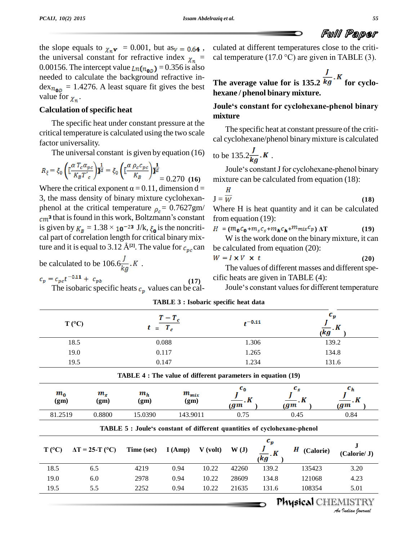

the slope equals to  $\chi_n \mathbf{v} = 0.001$ , but as  $v = 0.64$ , the universal constant for refractive index  $\chi_n$  = 0.00156. The intercept value  $_{Ln(n_{0D})}$  = 0.356 is also needed to calculate the background refractive in-  $\text{dex}_{n_{0D}} = 1.4276$ . A least square fit gives the best value for  $\chi_n$ .

#### **Calculation ofspecific heat**

The specific heat under constant pressure at the critical temperature is calculated using the two scale factor universality.

The universal constant is given by equation (16)

$$
R_{\xi} = \xi_0 \left( \left[ \frac{\alpha T_c \alpha_{pc}}{K_B T_c} \right] \right) \overline{\mathbf{d}}^{\overline{d}} = \xi_0 \left( \left[ \frac{\alpha \rho_c c_{pc}}{K_B} \right] \right) \overline{\mathbf{d}}^{\overline{d}} = 0.270 \text{ (16)} \quad \text{m}
$$

Where the critical exponent  $\alpha = 0.11$ , dimension d = 3, the mass density of binary mixture cyclohexan phenol at the critical temperature  $\rho_c = 0.7627$ gm/ W the mass density of binary mixture cyclohexan-<br>
nol at the critical temperature  $\rho_c = 0.7627 \text{gm/m}$ <br>
that is found in this work, Boltzmann's constant from phenol at the critical temperature  $\rho_c = 0.7627 \text{gm}$  Wh<br>
cm<sup>3</sup> that is found in this work, Boltzmann's constant from<br>
is given by  $K_B = 1.38 \times 10^{-23}$  J/k,  $\xi_0$  is the noncriti-  $H =$ cal part of correlation length for critical binary mixis given by  $K_B = 1.38 \times 10^{-23}$  J/k,  $\xi_0$  is the noncritical part of correlation length for critical binary mixture and it is equal to 3.12 Å<sup>[2]</sup>. The value for  $c_{nc}$  can

be calculated to be 106.6 $\frac{f}{kq}$ .K.

$$
c_p = c_{pc}t^{-0.11} + c_{pb}
$$
  
The isobaric specific hosts c, values can

I ne isobaric specific heats  $c_p$  values can be cal-

culated at different temperatures close to the criti cal temperature (17.0  $^{\circ}$ C) are given in TABLE (3).

**The average value for is 135.2**  $\frac{J}{kg}$ . **K** for cyclo**hexane / phenol binary mixture.**

#### **Jouleës constant for cyclohexane-phenol binary mixture**

The specific heat at constant pressure of the criti cal cyclohexane/phenol binarymixture is calculated

to be 
$$
135.2 \frac{J}{kg}
$$
. K.

Joule's constant J for cyclohexane-phenol binary mixture can be calculated from equation (18):

$$
\mathbf{J} = \frac{H}{W} \tag{18}
$$

Where H is heat quantity and it can be calculated<br>from equation (19):<br> $H = (m_0 c_0 + m_s c_s + m_h c_h + m_{mix} c_p) \Delta T$  (19) from equation (19):

$$
H = (m_0 c_0 + m_s c_s + m_h c_h + m_{mix} c_p) \Delta T
$$
 (19)

W is the work done on the binary mixture, it can be calculated from equation (20):

$$
W = I \times V \times t \tag{20}
$$

The values of different masses and different specific heats are given in TABLE (4):

Joule's constant values for different temperature

| <i>Hilblin v</i> , <i>hoodaric</i> specific fical data |                   |             |             |  |
|--------------------------------------------------------|-------------------|-------------|-------------|--|
| $T (^{\circ}C)$                                        | $\frac{T-T_c}{t}$ | $t^{-0.11}$ | * 91<br>(kg |  |
| 18.5                                                   | 0.088             | 1.306       | 139.2       |  |
| 19.0                                                   | 0.117             | 1.265       | 134.8       |  |
| 19.5                                                   | 0.147             | 1.234       | 131.6       |  |

**TABLE 3 : Isobaric specific heat data**

**(17)**

| $c_h$<br>$g_{\bm{m}}$ | $c_{s}$<br>$-$ . $\boldsymbol{K}$<br>$g_{\bm{m}}$ |                                      | $c_{0}$<br>$- K$<br>(gm |            | $m_{mix}$<br>(gm) | $m_h$<br>(gm)                                                            | $m_{\rm s}$<br>(gm)    | $m_{\alpha}$<br>(gm) |
|-----------------------|---------------------------------------------------|--------------------------------------|-------------------------|------------|-------------------|--------------------------------------------------------------------------|------------------------|----------------------|
| 0.84                  | 0.45                                              |                                      | 0.75                    |            | 143.9011          | 15.0390                                                                  | 0.8800                 | 81.2519              |
|                       |                                                   | $c_v$                                |                         |            |                   | TABLE 5 : Joule's constant of different quantities of cyclohexane-phenol |                        |                      |
| (Calorie/ J)          | Н<br>(Calorie)                                    | $\overline{\iota\kappa g}^{\cdot K}$ | W(J)                    | $V$ (volt) | I(Amp)            | Time (sec)                                                               | $\Delta T = 25-T$ (°C) | $T (^{\circ}C)$      |
|                       | 135423                                            | 139.2                                | 42260                   | 10.22      | 0.94              | 4219                                                                     | 6.5                    | 18.5                 |
| 3.20                  |                                                   |                                      | 28609                   | 10.22      | 0.94              | 2978                                                                     | 6.0                    | 19.0                 |
| 4.23                  | 121068                                            | 134.8                                |                         |            |                   |                                                                          |                        |                      |

## Physical CHEMISTRY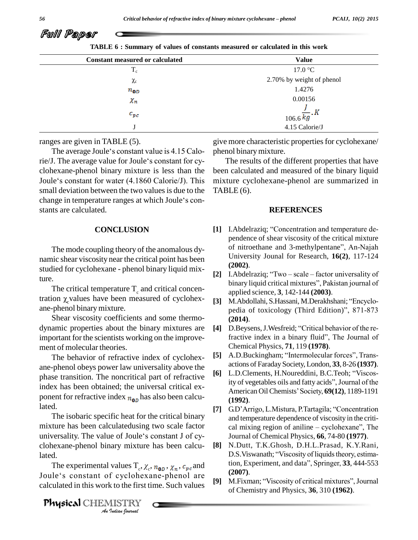

**TABLE 6 : Summary ofvalues of constants measured or calculated in this work**

| <b>Constant measured or calculated</b> | <b>Value</b>                         |
|----------------------------------------|--------------------------------------|
| $T_{\rm c}$                            | 17.0 °C                              |
| $\chi_c$                               | 2.70% by weight of phenol            |
| $n_{0D}$                               | 1.4276                               |
| $\chi_n$                               | 0.00156                              |
| $c_{pc}$                               | $\frac{J}{106.6}$ $\frac{J}{kg}$ . K |
|                                        | 4.15 Calorie/J                       |

ranges are given in TABLE (5).

The average Joule's constant value is 4.15 Caloranges are given in TABLE (5). give<br>The average Joule's constant value is 4.15 Calo-<br>rie/J. The average value for Joule's constant for cyclohexane-phenol binary mixture is less than the rie/J. The average value for Joule's constant for cy-<br>clohexane-phenol binary mixture is less than the been<br>Joule's constant for water (4.1860 Calorie/J). This mixt small deviation between the two values is due to the Joule's constant for water (4.1860 Calorie/J). This small deviation between the two values is due to the change in temperature ranges at which Joule's constants are calculated.

#### **CONCLUSION**

The mode coupling theory of the anomalous dy namic shear viscosity near the critical point has been studied for cyclohexane - phenol binary liquid mix-

ture.<br>The critical temperature  $T_c$  and critical concentration  $\chi_c$  values have been measured of cyclohex-<br>ane-phenol binary mixture.

Shear viscosity coefficients and some thermo dynamic properties about the binary mixtures are important for the scientists working on the improve ment of molecular theories.

The behavior of refractive index of cyclohex ane-phenol obeys power law universality above the<br> **actions** of Faraday Society, London, 33, 8-26 (1937).<br> **actions** of Faraday Society, London, 33, 8-26 (1937). phase transition. The noncritical part of refractive index has been obtained; the universal critical ex ponent for refractive index  $n_{0}$  has also been calculated.

The isobaric specific heat for the critical binary mixture has been calculatedusing two scale factor The isobaric specific heat for the critical binary<br>mixture has been calculatedusing two scale factor<br>universality. The value of Joule's constant J of cyclohexane-phenol binary mixture has been calculated. nexane-phenol binary mixture has been calcu-<br>  $\begin{bmatrix} 8 \end{bmatrix}$  N.<br>
The experimental values  $T_c$ ,  $\chi_c$ ,  $n_{0D}$ ,  $\chi_n$ ,  $c_{pc}$  and tic

*Values*  $T_c$ ,  $\chi$ <br>*f* cyclohex<br>*k* to the first<br>*IISTRY* lated.<br>The experimental values  $T_c$ ,  $\chi_c$ ,  $n_{\mathbf{0}D}$ ,  $\chi_n$ ,  $c_{pc}$  and<br>Joule's constant of cyclohexane-phenol are calculated in this work to the first time. Such values

Physical CHEMISTRY

give more characteristic properties for cyclohexane/ phenol binarymixture.

The results of the different properties that have been calculated and measured of the binary liquid mixture cyclohexane-phenol are summarized in  $TABLE (6).$ 

#### **REFERENCES**

- [1] I.Abdelraziq; "Concentration and temperature dependence of shear viscosity of the critical mixture I. Abdelraziq; "Concentration and temperature de-<br>pendence of shear viscosity of the critical mixture<br>of nitroethane and 3-methylpentane", An-Najah University Jounal for Research, **16(2)**, 117-124 **(2002)**. University Jounal for Research, **16(2)**, 117-124<br>(**2002**).<br>**[2]** I.Abdelraziq; "Two – scale – factor universality of
- (**2002**).<br>I.Abdelraziq; ''Two scale factor universality of<br>binary liquid critical mixtures'', Pakistan journal of applied science, **3**, 142-144 **(2003)**. binary liquid critical mixtures", Pakistan journal of<br>applied science, **3**, 142-144 (**2003**).<br>**[3]** M.Abdollahi, S.Hassani, M.Derakhshani; "Encyclo-
- applied science, 3, 142-144 (**2003**).<br>M.Abdollahi, S.Hassani, M.Derakhshani; ''Encyclo-<br>pedia of toxicology (Third Edition)'', 871-873 **(2014)**. pedia of toxicology (Third Edition)", 871-873<br> **(2014).**<br> **[4]** D.Beysens, J.Wesfreid; "Critical behavior of the re-
- fractive index in a binary fluid", The Journal of Chemical Physics, **71**, 119 **(1978)**. fractive index in a binary fluid", The Journal of<br>Chemical Physics, **71**, 119 (**1978**).<br>[5] A.D.Buckingham; "Intermolecular forces", Trans-
- actions of Faraday Society, London, **33**, 8-26 **(1937)**. [5] A.D.Buckingham; "Intermolecular forces", Trans-<br>actions of Faraday Society, London, 33, 8-26 (1937).<br>[6] L.D.Clements, H.Noureddini, B.C.Teoh; "Viscos-
- actions of Faraday Society, London, **33**, 8-26 (**1937**).<br>L.D.Clements, H.Noureddini, B.C.Teoh; "Viscos-<br>ity of vegetables oils and fatty acids", Journal of the L.D.Clements, H.Noureddini, B.C.Teoh; "Viscos-<br>ity of vegetables oils and fatty acids", Journal of the<br>American Oil Chemists' Society, **69(12)**, 1189-1191 **(1992)**. **EXECUTE: American Oil Chemists' Society, 69(12),** 1189-1191<br> **[7]** G.D'Arrigo, L.Mistura, P.Tartagila; "Concentration
- and temperature dependence of viscosity in the criti cal mixing region of aniline  $-$  cyclohexane", The Journal of Chemical Physics, **66**, 74-80 **(1977)**.
- **[8]** N.Dutt, T.K.Ghosh, D.H.L.Prasad, K.Y.Rani, Journal of Chemical Physics, **66**, 74-80 (**1977**).<br>N.Dutt, T.K.Ghosh, D.H.L.Prasad, K.Y.Rani,<br>D.S.Viswanath; "Viscosity of liquids theory, estima-N.Dutt, T.K.Ghosh, D.H.L.Prasad, K.Y.Rani,<br>D.S.Viswanath; "Viscosity of liquids theory, estima-<br>tion, Experiment, and data", Springer, 33, 444-553 **(2007)**. **(2007).**<br> **[9]** M.Fixman; "Viscosity of critical mixtures", Journal
- of Chemistry and Physics, **36**, 310 **(1962)**.